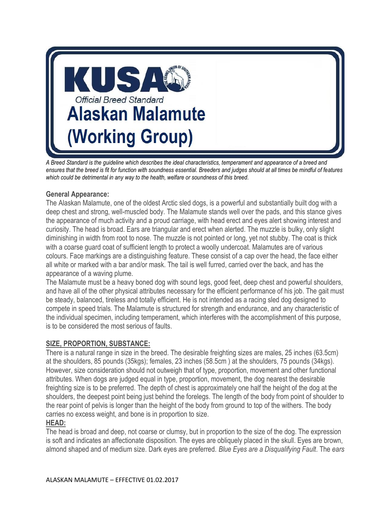

*A Breed Standard is the guideline which describes the ideal characteristics, temperament and appearance of a breed and ensures that the breed is fit for function with soundness essential. Breeders and judges should at all times be mindful of features which could be detrimental in any way to the health, welfare or soundness of this breed.* 

## **General Appearance:**

The Alaskan Malamute, one of the oldest Arctic sled dogs, is a powerful and substantially built dog with a deep chest and strong, well-muscled body. The Malamute stands well over the pads, and this stance gives the appearance of much activity and a proud carriage, with head erect and eyes alert showing interest and curiosity. The head is broad. Ears are triangular and erect when alerted. The muzzle is bulky, only slight diminishing in width from root to nose. The muzzle is not pointed or long, yet not stubby. The coat is thick with a coarse guard coat of sufficient length to protect a woolly undercoat. Malamutes are of various colours. Face markings are a distinguishing feature. These consist of a cap over the head, the face either all white or marked with a bar and/or mask. The tail is well furred, carried over the back, and has the appearance of a waving plume.

The Malamute must be a heavy boned dog with sound legs, good feet, deep chest and powerful shoulders, and have all of the other physical attributes necessary for the efficient performance of his job. The gait must be steady, balanced, tireless and totally efficient. He is not intended as a racing sled dog designed to compete in speed trials. The Malamute is structured for strength and endurance, and any characteristic of the individual specimen, including temperament, which interferes with the accomplishment of this purpose, is to be considered the most serious of faults.

## **SIZE, PROPORTION, SUBSTANCE:**

There is a natural range in size in the breed. The desirable freighting sizes are males, 25 inches (63.5cm) at the shoulders, 85 pounds (35kgs); females, 23 inches (58.5cm ) at the shoulders, 75 pounds (34kgs). However, size consideration should not outweigh that of type, proportion, movement and other functional attributes. When dogs are judged equal in type, proportion, movement, the dog nearest the desirable freighting size is to be preferred. The depth of chest is approximately one half the height of the dog at the shoulders, the deepest point being just behind the forelegs. The length of the body from point of shoulder to the rear point of pelvis is longer than the height of the body from ground to top of the withers. The body carries no excess weight, and bone is in proportion to size.

# **HEAD:**

The head is broad and deep, not coarse or clumsy, but in proportion to the size of the dog. The expression is soft and indicates an affectionate disposition. The eyes are obliquely placed in the skull. Eyes are brown, almond shaped and of medium size. Dark eyes are preferred. *Blue Eyes are a Disqualifying Fault*. The *ears*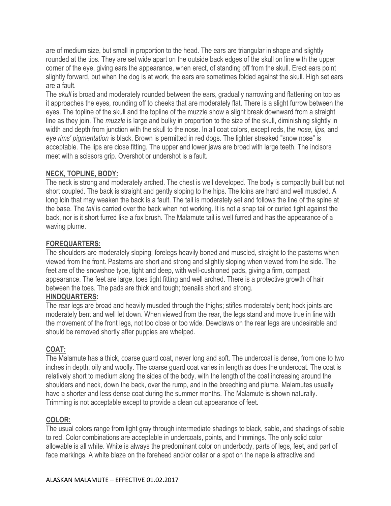are of medium size, but small in proportion to the head. The ears are triangular in shape and slightly rounded at the tips. They are set wide apart on the outside back edges of the skull on line with the upper corner of the eye, giving ears the appearance, when erect, of standing off from the skull. Erect ears point slightly forward, but when the dog is at work, the ears are sometimes folded against the skull. High set ears are a fault.

The *skull* is broad and moderately rounded between the ears, gradually narrowing and flattening on top as it approaches the eyes, rounding off to cheeks that are moderately flat. There is a slight furrow between the eyes. The topline of the skull and the topline of the muzzle show a slight break downward from a straight line as they join. The *muzzle* is large and bulky in proportion to the size of the skull, diminishing slightly in width and depth from junction with the skull to the nose. In all coat colors, except reds, the *nose, lips*, and *eye rims' pigmentation* is black. Brown is permitted in red dogs. The lighter streaked "snow nose" is acceptable. The lips are close fitting. The upper and lower jaws are broad with large teeth. The incisors meet with a scissors grip. Overshot or undershot is a fault.

## **NECK, TOPLINE, BODY:**

The neck is strong and moderately arched. The chest is well developed. The body is compactly built but not short coupled. The back is straight and gently sloping to the hips. The loins are hard and well muscled. A long loin that may weaken the back is a fault. The tail is moderately set and follows the line of the spine at the base. The *tail* is carried over the back when not working. It is not a snap tail or curled tight against the back, nor is it short furred like a fox brush. The Malamute tail is well furred and has the appearance of a waving plume.

#### **FOREQUARTERS:**

The shoulders are moderately sloping; forelegs heavily boned and muscled, straight to the pasterns when viewed from the front. Pasterns are short and strong and slightly sloping when viewed from the side. The feet are of the snowshoe type, tight and deep, with well-cushioned pads, giving a firm, compact appearance. The feet are large, toes tight fitting and well arched. There is a protective growth of hair between the toes. The pads are thick and tough; toenails short and strong.

#### **HINDQUARTERS:**

The rear legs are broad and heavily muscled through the thighs; stifles moderately bent; hock joints are moderately bent and well let down. When viewed from the rear, the legs stand and move true in line with the movement of the front legs, not too close or too wide. Dewclaws on the rear legs are undesirable and should be removed shortly after puppies are whelped.

## **COAT:**

The Malamute has a thick, coarse guard coat, never long and soft. The undercoat is dense, from one to two inches in depth, oily and woolly. The coarse guard coat varies in length as does the undercoat. The coat is relatively short to medium along the sides of the body, with the length of the coat increasing around the shoulders and neck, down the back, over the rump, and in the breeching and plume. Malamutes usually have a shorter and less dense coat during the summer months. The Malamute is shown naturally. Trimming is not acceptable except to provide a clean cut appearance of feet.

#### **COLOR:**

The usual colors range from light gray through intermediate shadings to black, sable, and shadings of sable to red. Color combinations are acceptable in undercoats, points, and trimmings. The only solid color allowable is all white. White is always the predominant color on underbody, parts of legs, feet, and part of face markings. A white blaze on the forehead and/or collar or a spot on the nape is attractive and